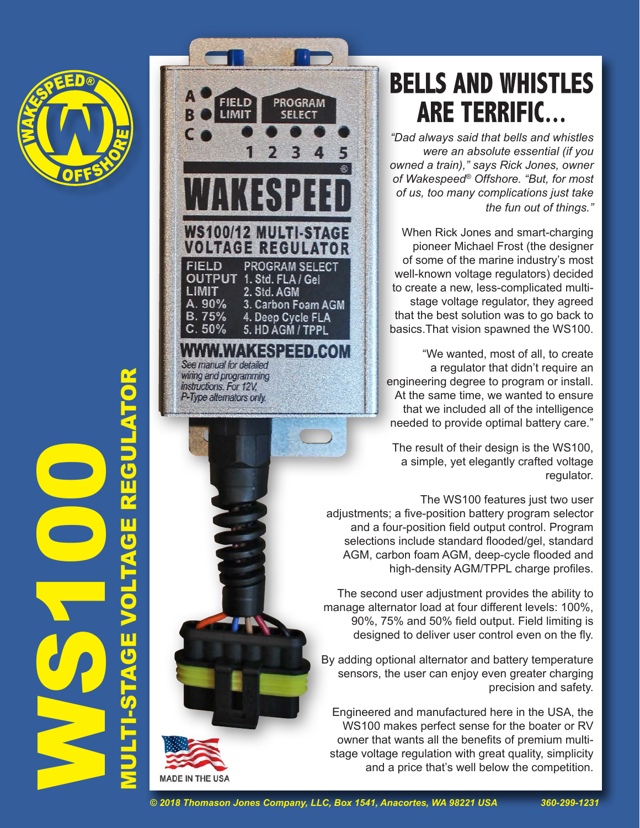

MULTI-STAGE VOLTAGE REGULATOR**S1000** ú, **ACTES** o



## **BELLS AND WHISTLES ARE TERRIFIC...**

*"Dad always said that bells and whistles were an absolute essential (if you owned a train)," says Rick Jones, owner of Wakespeed® Offshore. "But, for most of us, too many complications just take the fun out of things."*

When Rick Jones and smart-charging pioneer Michael Frost (the designer of some of the marine industry's most well-known voltage regulators) decided to create a new, less-complicated multistage voltage regulator, they agreed that the best solution was to go back to basics.That vision spawned the WS100.

"We wanted, most of all, to create a regulator that didn't require an engineering degree to program or install. At the same time, we wanted to ensure that we included all of the intelligence needed to provide optimal battery care."

The result of their design is the WS100, a simple, yet elegantly crafted voltage regulator.

The WS100 features just two user adjustments; a five-position battery program selector and a four-position field output control. Program selections include standard flooded/gel, standard AGM, carbon foam AGM, deep-cycle flooded and high-density AGM/TPPL charge profiles.

The second user adjustment provides the ability to manage alternator load at four different levels: 100%, 90%, 75% and 50% field output. Field limiting is designed to deliver user control even on the fly.

By adding optional alternator and battery temperature sensors, the user can enjoy even greater charging precision and safety.

Engineered and manufactured here in the USA, the WS100 makes perfect sense for the boater or RV owner that wants all the benefits of premium multistage voltage regulation with great quality, simplicity and a price that's well below the competition.